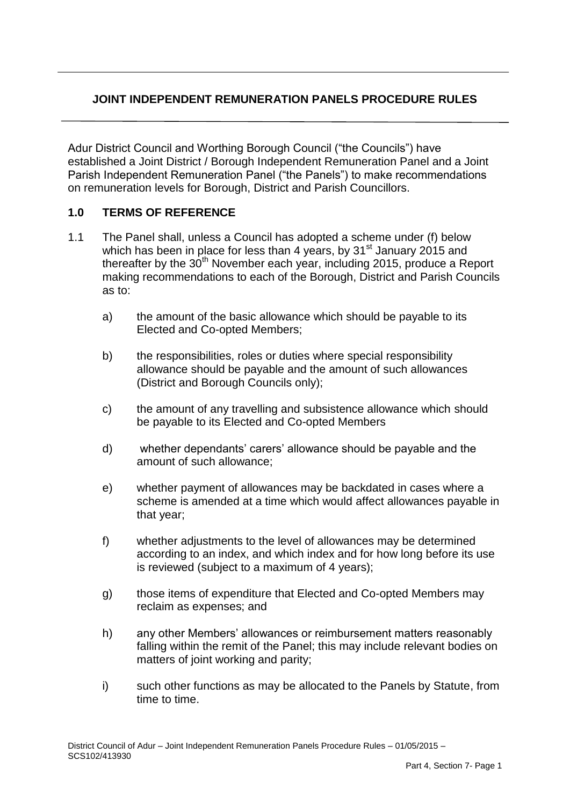# **JOINT INDEPENDENT REMUNERATION PANELS PROCEDURE RULES**

Adur District Council and Worthing Borough Council ("the Councils") have established a Joint District / Borough Independent Remuneration Panel and a Joint Parish Independent Remuneration Panel ("the Panels") to make recommendations on remuneration levels for Borough, District and Parish Councillors.

#### **1.0 TERMS OF REFERENCE**

- 1.1 The Panel shall, unless a Council has adopted a scheme under (f) below which has been in place for less than 4 years, by  $31<sup>st</sup>$  January 2015 and thereafter by the  $30<sup>th</sup>$  November each year, including 2015, produce a Report making recommendations to each of the Borough, District and Parish Councils as to:
	- a) the amount of the basic allowance which should be payable to its Elected and Co-opted Members;
	- b) the responsibilities, roles or duties where special responsibility allowance should be payable and the amount of such allowances (District and Borough Councils only);
	- c) the amount of any travelling and subsistence allowance which should be payable to its Elected and Co-opted Members
	- d) whether dependants' carers' allowance should be payable and the amount of such allowance;
	- e) whether payment of allowances may be backdated in cases where a scheme is amended at a time which would affect allowances payable in that year;
	- f) whether adjustments to the level of allowances may be determined according to an index, and which index and for how long before its use is reviewed (subject to a maximum of 4 years);
	- g) those items of expenditure that Elected and Co-opted Members may reclaim as expenses; and
	- h) any other Members' allowances or reimbursement matters reasonably falling within the remit of the Panel; this may include relevant bodies on matters of joint working and parity;
	- i) such other functions as may be allocated to the Panels by Statute, from time to time.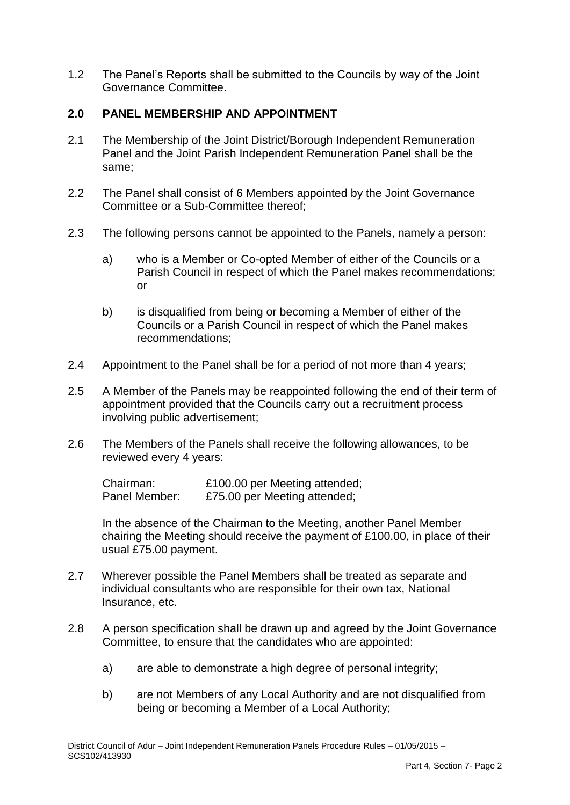1.2 The Panel's Reports shall be submitted to the Councils by way of the Joint Governance Committee.

## **2.0 PANEL MEMBERSHIP AND APPOINTMENT**

- 2.1 The Membership of the Joint District/Borough Independent Remuneration Panel and the Joint Parish Independent Remuneration Panel shall be the same;
- 2.2 The Panel shall consist of 6 Members appointed by the Joint Governance Committee or a Sub-Committee thereof;
- 2.3 The following persons cannot be appointed to the Panels, namely a person:
	- a) who is a Member or Co-opted Member of either of the Councils or a Parish Council in respect of which the Panel makes recommendations; or
	- b) is disqualified from being or becoming a Member of either of the Councils or a Parish Council in respect of which the Panel makes recommendations;
- 2.4 Appointment to the Panel shall be for a period of not more than 4 years;
- 2.5 A Member of the Panels may be reappointed following the end of their term of appointment provided that the Councils carry out a recruitment process involving public advertisement;
- 2.6 The Members of the Panels shall receive the following allowances, to be reviewed every 4 years:

Chairman: £100.00 per Meeting attended; Panel Member: £75.00 per Meeting attended;

In the absence of the Chairman to the Meeting, another Panel Member chairing the Meeting should receive the payment of £100.00, in place of their usual £75.00 payment.

- 2.7 Wherever possible the Panel Members shall be treated as separate and individual consultants who are responsible for their own tax, National Insurance, etc.
- 2.8 A person specification shall be drawn up and agreed by the Joint Governance Committee, to ensure that the candidates who are appointed:
	- a) are able to demonstrate a high degree of personal integrity;
	- b) are not Members of any Local Authority and are not disqualified from being or becoming a Member of a Local Authority;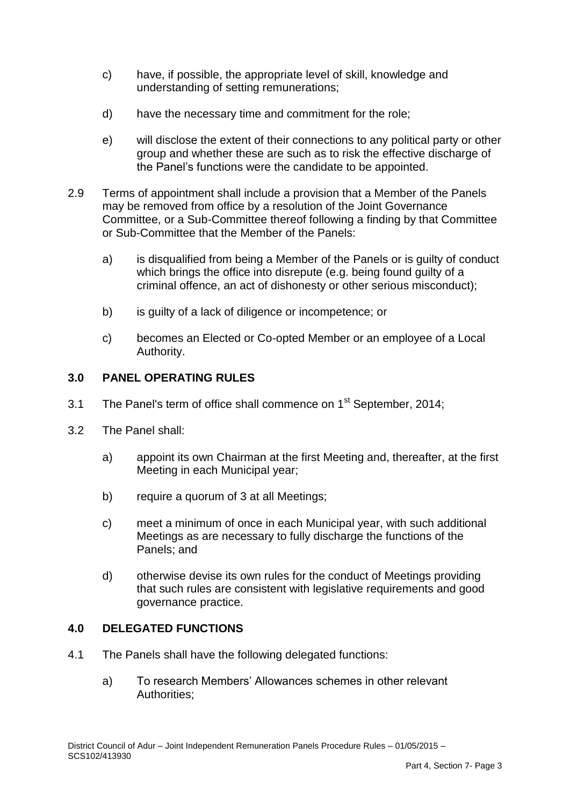- c) have, if possible, the appropriate level of skill, knowledge and understanding of setting remunerations;
- d) have the necessary time and commitment for the role;
- e) will disclose the extent of their connections to any political party or other group and whether these are such as to risk the effective discharge of the Panel's functions were the candidate to be appointed.
- 2.9 Terms of appointment shall include a provision that a Member of the Panels may be removed from office by a resolution of the Joint Governance Committee, or a Sub-Committee thereof following a finding by that Committee or Sub-Committee that the Member of the Panels:
	- a) is disqualified from being a Member of the Panels or is guilty of conduct which brings the office into disrepute (e.g. being found guilty of a criminal offence, an act of dishonesty or other serious misconduct);
	- b) is guilty of a lack of diligence or incompetence; or
	- c) becomes an Elected or Co-opted Member or an employee of a Local Authority.

## **3.0 PANEL OPERATING RULES**

- 3.1 The Panel's term of office shall commence on  $1<sup>st</sup>$  September, 2014;
- 3.2 The Panel shall:
	- a) appoint its own Chairman at the first Meeting and, thereafter, at the first Meeting in each Municipal year;
	- b) require a quorum of 3 at all Meetings;
	- c) meet a minimum of once in each Municipal year, with such additional Meetings as are necessary to fully discharge the functions of the Panels; and
	- d) otherwise devise its own rules for the conduct of Meetings providing that such rules are consistent with legislative requirements and good governance practice.

#### **4.0 DELEGATED FUNCTIONS**

- 4.1 The Panels shall have the following delegated functions:
	- a) To research Members' Allowances schemes in other relevant Authorities;